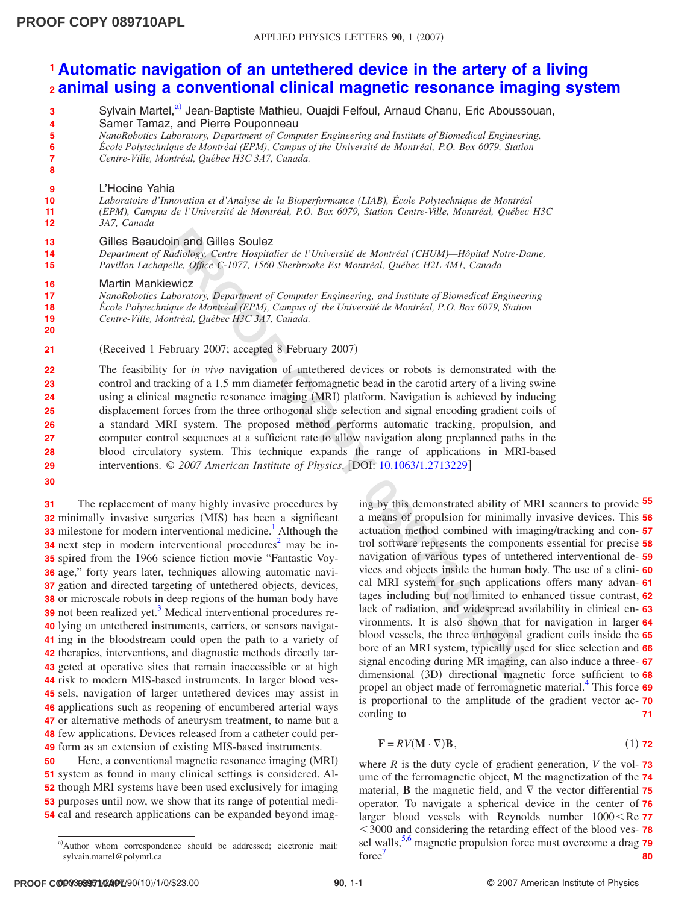## **[Automatic navigation of an untethered device in the artery of a living](http://dx.doi.org/10.1063/1.2713229) 1 [animal using a conventional clinical magnetic resonance imaging system](http://dx.doi.org/10.1063/1.2713229) 2**

- Sylvain Martel,<sup>a)</sup> Jean-Baptiste Mathieu, Ouajdi Felfoul, Arnaud Chanu, Eric Aboussouan, **3**
- Samer Tamaz, and Pierre Pouponneau **4**
- *NanoRobotics Laboratory, Department of Computer Engineering and Institute of Biomedical Engineering,* **5**
- *École Polytechnique de Montréal (EPM), Campus of the Université de Montréal, P.O. Box 6079, Station* **6**
- *Centre-Ville, Montréal, Québec H3C 3A7, Canada.* **7 8**
- L'Hocine Yahia **9**
- *Laboratoire d'Innovation et d'Analyse de la Bioperformance (LIAB), École Polytechnique de Montréal (EPM), Campus de l'Université de Montréal, P.O. Box 6079, Station Centre-Ville, Montréal, Québec H3C* **10 11**
- *3A7, Canada* **12**

## Gilles Beaudoin and Gilles Soulez **13**

- *Department of Radiology, Centre Hospitalier de l'Université de Montréal (CHUM)—Hôpital Notre-Dame, Pavillon Lachapelle, Office C-1077, 1560 Sherbrooke Est Montréal, Québec H2L 4M1, Canada* **14 15**
- Martin Mankiewicz **16**

*NanoRobotics Laboratory, Department of Computer Engineering, and Institute of Biomedical Engineering École Polytechnique de Montréal (EPM), Campus of the Université de Montréal, P.O. Box 6079, Station* **17 18**

*Centre-Ville, Montréal, Québec H3C 3A7, Canada.* **19**

(Received 1 February 2007; accepted 8 February 2007) **21**

**Contained paint control and Collegation**<br> **Co** *Chiladhogy*, Center Hospitalier de l'Université de Montréal (CHUM)—Hòptial Note-Dan<br> *Phaplitele, Office C-1077, 1560 Sherbrooke Ext Montréal, Québec IEEL-4M1, Canada<br>
Inher* The feasibility for *in vivo* navigation of untethered devices or robots is demonstrated with the control and tracking of a 1.5 mm diameter ferromagnetic bead in the carotid artery of a living swine using a clinical magnetic resonance imaging (MRI) platform. Navigation is achieved by inducing displacement forces from the three orthogonal slice selection and signal encoding gradient coils of a standard MRI system. The proposed method performs automatic tracking, propulsion, and computer control sequences at a sufficient rate to allow navigation along preplanned paths in the blood circulatory system. This technique expands the range of applications in MRI-based interventions. © *2007 American Institute of Physics*. DOI: 10.1063/1.2713229 **22 23 24 25 26 27 28 29**

**30**

**20**

The replacement of many highly invasive procedures by 32 minimally invasive surgeries (MIS) has been a significant **33** milestone for modern interventional medicine.<sup>1</sup> Although the **34** next step in modern interventional procedures<sup>2</sup> may be in-**35** spired from the 1966 science fiction movie "Fantastic Voy-**36** age," forty years later, techniques allowing automatic navi-37 gation and directed targeting of untethered objects, devices, **38** or microscale robots in deep regions of the human body have **39** not been realized yet.<sup>3</sup> Medical interventional procedures re-40 lying on untethered instruments, carriers, or sensors navigat-41 ing in the bloodstream could open the path to a variety of 42 therapies, interventions, and diagnostic methods directly tar-43 geted at operative sites that remain inaccessible or at high 44 risk to modern MIS-based instruments. In larger blood ves-45 sels, navigation of larger untethered devices may assist in 46 applications such as reopening of encumbered arterial ways 47 or alternative methods of aneurysm treatment, to name but a 48 few applications. Devices released from a catheter could per-49 form as an extension of existing MIS-based instruments. **31**

Here, a conventional magnetic resonance imaging (MRI) system as found in many clinical settings is considered. Al- though MRI systems have been used exclusively for imaging purposes until now, we show that its range of potential medi- cal and research applications can be expanded beyond imag-**50**

ing by this demonstrated ability of MRI scanners to provide **55** a means of propulsion for minimally invasive devices. This **56** actuation method combined with imaging/tracking and con-**57** trol software represents the components essential for precise **58** navigation of various types of untethered interventional de-**59** vices and objects inside the human body. The use of a clini-**60** cal MRI system for such applications offers many advan-**61** tages including but not limited to enhanced tissue contrast, **62** lack of radiation, and widespread availability in clinical en-**63** vironments. It is also shown that for navigation in larger **64** blood vessels, the three orthogonal gradient coils inside the **65** bore of an MRI system, typically used for slice selection and **66** signal encoding during MR imaging, can also induce a three-**67** dimensional (3D) directional magnetic force sufficient to 68 propel an object made of ferromagnetic material[.4](#page-2-3) This force **69** is proportional to the amplitude of the gradient vector ac-**70** cording to **71**

$$
\mathbf{F} = RV(\mathbf{M} \cdot \nabla)\mathbf{B},\tag{1) 72}
$$

where  $R$  is the duty cycle of gradient generation,  $V$  the vol- $\overline{73}$ ume of the ferromagnetic object, **M** the magnetization of the **74** material, **B** the magnetic field, and  $\nabla$  the vector differential 75 operator. To navigate a spherical device in the center of **76** larger blood vessels with Reynolds number  $1000 <$ Re 77 3000 and considering the retarding effect of the blood ves-**78** sel walls,<sup>[5](#page-2-4)[,6](#page-2-5)</sup> magnetic propulsion force must overcome a drag 79 force<sup>7</sup> **80**

<span id="page-0-0"></span>a) Author whom correspondence should be addressed; electronic mail: sylvain.martel@polymtl.ca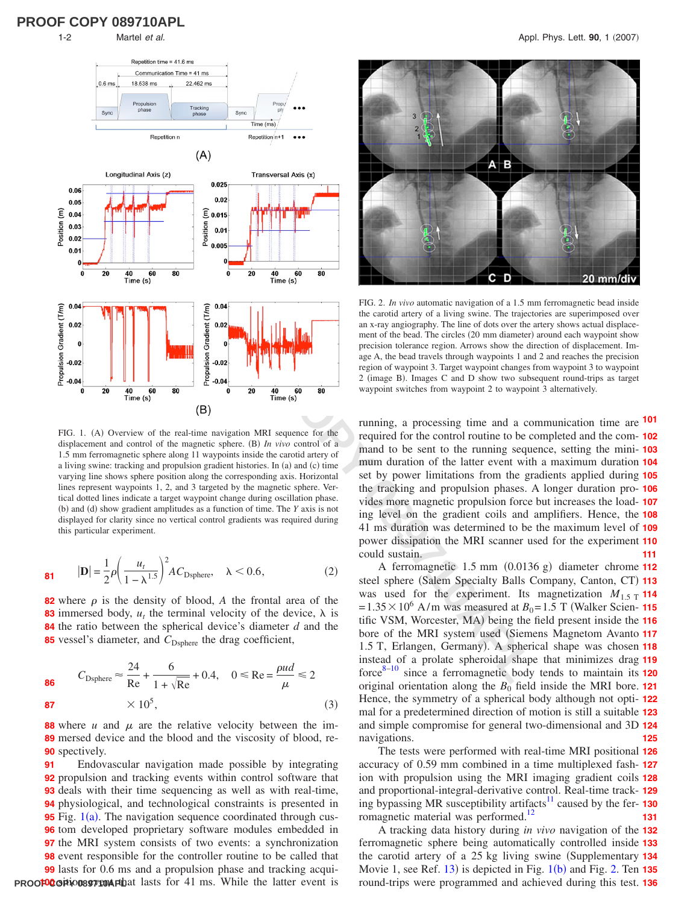<span id="page-1-0"></span>

FIG. 1. (A) Overview of the real-time navigation MRI sequence for the displacement and control of the magnetic sphere. (B) In vivo control of a 1.5 mm ferromagnetic sphere along 11 waypoints inside the carotid artery of a living swine: tracking and propulsion gradient histories. In (a) and (c) time varying line shows sphere position along the corresponding axis. Horizontal lines represent waypoints 1, 2, and 3 targeted by the magnetic sphere. Vertical dotted lines indicate a target waypoint change during oscillation phase. (b) and (d) show gradient amplitudes as a function of time. The *Y* axis is not displayed for clarity since no vertical control gradients was required during this particular experiment.

$$
\mathbf{81} \qquad |\mathbf{D}| = \frac{1}{2}\rho \bigg(\frac{u_t}{1-\lambda^{1.5}}\bigg)^2 AC_{\text{Dsphere}}, \quad \lambda < 0.6,\tag{2}
$$

 where  $\rho$  is the density of blood, A the frontal area of the immersed body,  $u_t$  the terminal velocity of the device,  $\lambda$  is the ratio between the spherical device's diameter  $d$  and the 85 vessel's diameter, and C<sub>Dsphere</sub> the drag coefficient,

86 
$$
C_{\text{Dsphere}} \approx \frac{24}{\text{Re}} + \frac{6}{1 + \sqrt{\text{Re}}} + 0.4, \quad 0 \le \text{Re} = \frac{\rho ud}{\mu} \le 2
$$
  
87  $\times 10^5$ , (3)

**88** where *u* and  $\mu$  are the relative velocity between the immersed device and the blood and the viscosity of blood, re-**89 90** spectively.

**PROOF COPY CORPORED A PURE TO A SET OF 41 ms.** While the latter event is Endovascular navigation made possible by integrating propulsion and tracking events within control software that deals with their time sequencing as well as with real-time, physiological, and technological constraints is presented in Fig. [1](#page-1-0)(a). The navigation sequence coordinated through cus- tom developed proprietary software modules embedded in the MRI system consists of two events: a synchronization event responsible for the controller routine to be called that lasts for 0.6 ms and a propulsion phase and tracking acqui-**91**

<span id="page-1-1"></span>

FIG. 2. *In vivo* automatic navigation of a 1.5 mm ferromagnetic bead inside the carotid artery of a living swine. The trajectories are superimposed over an x-ray angiography. The line of dots over the artery shows actual displacement of the bead. The circles (20 mm diameter) around each waypoint show precision tolerance region. Arrows show the direction of displacement. Image A, the bead travels through waypoints 1 and 2 and reaches the precision region of waypoint 3. Target waypoint changes from waypoint 3 to waypoint 2 (image B). Images C and D show two subsequent round-trips as target waypoint switches from waypoint 2 to waypoint 3 alternatively.

running, a processing time and a communication time are **101** required for the control routine to be completed and the com-**102** mand to be sent to the running sequence, setting the mini-**103** mum duration of the latter event with a maximum duration **104** set by power limitations from the gradients applied during **105** the tracking and propulsion phases. A longer duration pro-**106** vides more magnetic propulsion force but increases the load-**107** ing level on the gradient coils and amplifiers. Hence, the **108** 41 ms duration was determined to be the maximum level of **109** power dissipation the MRI scanner used for the experiment **110** could sustain. **111**

A ferromagnetic 1.5 mm (0.0136 g) diameter chrome 112 steel sphere (Salem Specialty Balls Company, Canton, CT) 113 was used for the experiment. Its magnetization  $M_{1.5 \text{ T}}$  114  $= 1.35 \times 10^6$  A/m was measured at  $B_0 = 1.5$  T (Walker Scien- **115** tific VSM, Worcester, MA) being the field present inside the 116 bore of the MRI system used (Siemens Magnetom Avanto 117 1.5 T, Erlangen, Germany). A spherical shape was chosen 118 instead of a prolate spheroidal shape that minimizes drag **119** force8–10 since a ferromagnetic body tends to maintain its **120** original orientation along the *B*<sup>0</sup> field inside the MRI bore. **121** Hence, the symmetry of a spherical body although not opti-**122** mal for a predetermined direction of motion is still a suitable **123** and simple compromise for general two-dimensional and 3D **124** navigations. **125**

The tests were performed with real-time MRI positional **126** accuracy of 0.59 mm combined in a time multiplexed fash-**127** ion with propulsion using the MRI imaging gradient coils **128** and proportional-integral-derivative control. Real-time track-**129** ing bypassing MR susceptibility artifacts<sup>11</sup> caused by the fer-130 romagnetic material was performed.<sup>12</sup> **131**

A tracking data history during *in vivo* navigation of the **132** ferromagnetic sphere being automatically controlled inside **133** the carotid artery of a 25 kg living swine (Supplementary 134 Movie 1, see Ref. [13](#page-2-11)) is depicted in Fig. [1](#page-1-0)(b) and Fig. [2.](#page-1-1) Ten 135 round-trips were programmed and achieved during this test. **136**